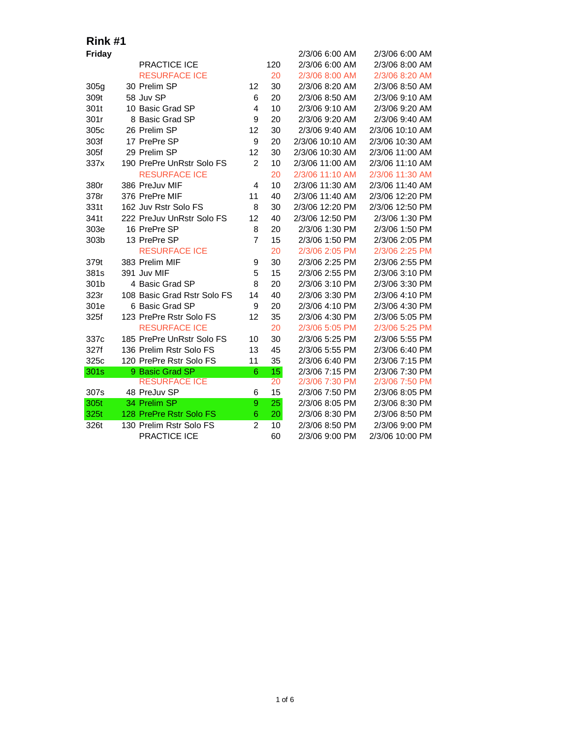| Friday |                             |                |     | 2/3/06 6:00 AM  | 2/3/06 6:00 AM  |
|--------|-----------------------------|----------------|-----|-----------------|-----------------|
|        | <b>PRACTICE ICE</b>         |                | 120 | 2/3/06 6:00 AM  | 2/3/06 8:00 AM  |
|        | <b>RESURFACE ICE</b>        |                | 20  | 2/3/06 8:00 AM  | 2/3/06 8:20 AM  |
| 305g   | 30 Prelim SP                | 12             | 30  | 2/3/06 8:20 AM  | 2/3/06 8:50 AM  |
| 309t   | 58 Juv SP                   | 6              | 20  | 2/3/06 8:50 AM  | 2/3/06 9:10 AM  |
| 301t   | 10 Basic Grad SP            | 4              | 10  | 2/3/06 9:10 AM  | 2/3/06 9:20 AM  |
| 301r   | 8 Basic Grad SP             | 9              | 20  | 2/3/06 9:20 AM  | 2/3/06 9:40 AM  |
| 305c   | 26 Prelim SP                | 12             | 30  | 2/3/06 9:40 AM  | 2/3/06 10:10 AM |
| 303f   | 17 PrePre SP                | 9              | 20  | 2/3/06 10:10 AM | 2/3/06 10:30 AM |
| 305f   | 29 Prelim SP                | 12             | 30  | 2/3/06 10:30 AM | 2/3/06 11:00 AM |
| 337x   | 190 PrePre UnRstr Solo FS   | $\overline{2}$ | 10  | 2/3/06 11:00 AM | 2/3/06 11:10 AM |
|        | <b>RESURFACE ICE</b>        |                | 20  | 2/3/06 11:10 AM | 2/3/06 11:30 AM |
| 380r   | 386 PreJuv MIF              | 4              | 10  | 2/3/06 11:30 AM | 2/3/06 11:40 AM |
| 378r   | 376 PrePre MIF              | 11             | 40  | 2/3/06 11:40 AM | 2/3/06 12:20 PM |
| 331t   | 162 Juv Rstr Solo FS        | 8              | 30  | 2/3/06 12:20 PM | 2/3/06 12:50 PM |
| 341t   | 222 PreJuv UnRstr Solo FS   | 12             | 40  | 2/3/06 12:50 PM | 2/3/06 1:30 PM  |
| 303e   | 16 PrePre SP                | 8              | 20  | 2/3/06 1:30 PM  | 2/3/06 1:50 PM  |
| 303b   | 13 PrePre SP                | $\overline{7}$ | 15  | 2/3/06 1:50 PM  | 2/3/06 2:05 PM  |
|        | <b>RESURFACE ICE</b>        |                | 20  | 2/3/06 2:05 PM  | 2/3/06 2:25 PM  |
| 379t   | 383 Prelim MIF              | 9              | 30  | 2/3/06 2:25 PM  | 2/3/06 2:55 PM  |
| 381s   | 391 Juv MIF                 | 5              | 15  | 2/3/06 2:55 PM  | 2/3/06 3:10 PM  |
| 301b   | 4 Basic Grad SP             | 8              | 20  | 2/3/06 3:10 PM  | 2/3/06 3:30 PM  |
| 323r   | 108 Basic Grad Rstr Solo FS | 14             | 40  | 2/3/06 3:30 PM  | 2/3/06 4:10 PM  |
| 301e   | 6 Basic Grad SP             | 9              | 20  | 2/3/06 4:10 PM  | 2/3/06 4:30 PM  |
| 325f   | 123 PrePre Rstr Solo FS     | 12             | 35  | 2/3/06 4:30 PM  | 2/3/06 5:05 PM  |
|        | <b>RESURFACE ICE</b>        |                | 20  | 2/3/06 5:05 PM  | 2/3/06 5:25 PM  |
| 337c   | 185 PrePre UnRstr Solo FS   | 10             | 30  | 2/3/06 5:25 PM  | 2/3/06 5:55 PM  |
| 327f   | 136 Prelim Rstr Solo FS     | 13             | 45  | 2/3/06 5:55 PM  | 2/3/06 6:40 PM  |
| 325c   | 120 PrePre Rstr Solo FS     | 11             | 35  | 2/3/06 6:40 PM  | 2/3/06 7:15 PM  |
| 301s   | 9 Basic Grad SP             | 6              | 15  | 2/3/06 7:15 PM  | 2/3/06 7:30 PM  |
|        | <b>RESURFACE ICE</b>        |                | 20  | 2/3/06 7:30 PM  | 2/3/06 7:50 PM  |
| 307s   | 48 PreJuv SP                | 6              | 15  | 2/3/06 7:50 PM  | 2/3/06 8:05 PM  |
| 305t   | 34 Prelim SP                | 9              | 25  | 2/3/06 8:05 PM  | 2/3/06 8:30 PM  |
| 325t   | 128 PrePre Rstr Solo FS     | 6              | 20  | 2/3/06 8:30 PM  | 2/3/06 8:50 PM  |
| 326t   | 130 Prelim Rstr Solo FS     | $\overline{2}$ | 10  | 2/3/06 8:50 PM  | 2/3/06 9:00 PM  |
|        | <b>PRACTICE ICE</b>         |                | 60  | 2/3/06 9:00 PM  | 2/3/06 10:00 PM |
|        |                             |                |     |                 |                 |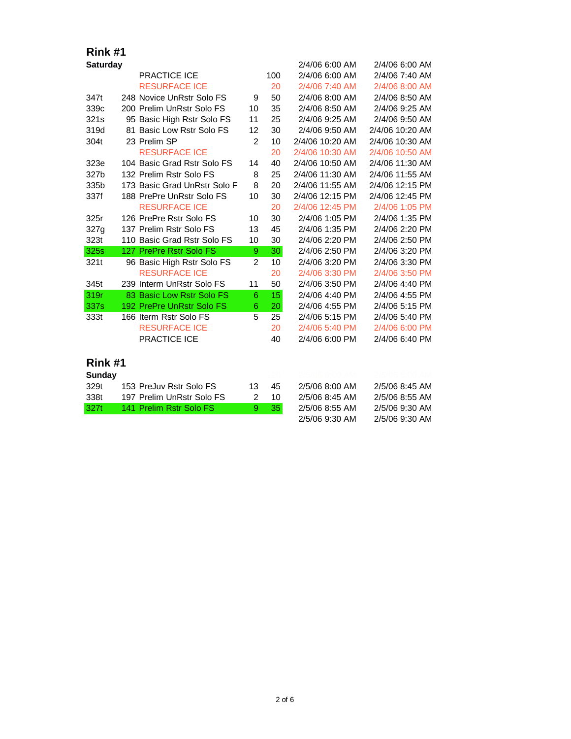| <b>Saturday</b>       |     |                              |                |     | 2/4/06 6:00 AM  | 2/4/06 6:00 AM  |
|-----------------------|-----|------------------------------|----------------|-----|-----------------|-----------------|
|                       |     | <b>PRACTICE ICE</b>          |                | 100 | 2/4/06 6:00 AM  | 2/4/06 7:40 AM  |
|                       |     | <b>RESURFACE ICE</b>         |                | 20  | 2/4/06 7:40 AM  | 2/4/06 8:00 AM  |
| 347t                  |     | 248 Novice UnRstr Solo FS    | 9              | 50  | 2/4/06 8:00 AM  | 2/4/06 8:50 AM  |
| 339c                  |     | 200 Prelim UnRstr Solo FS    | 10             | 35  | 2/4/06 8:50 AM  | 2/4/06 9:25 AM  |
| 321s                  |     | 95 Basic High Rstr Solo FS   | 11             | 25  | 2/4/06 9:25 AM  | 2/4/06 9:50 AM  |
| 319d                  |     | 81 Basic Low Rstr Solo FS    | 12             | 30  | 2/4/06 9:50 AM  | 2/4/06 10:20 AM |
| 304t                  |     | 23 Prelim SP                 | 2              | 10  | 2/4/06 10:20 AM | 2/4/06 10:30 AM |
|                       |     | <b>RESURFACE ICE</b>         |                | 20  | 2/4/06 10:30 AM | 2/4/06 10:50 AM |
| 323e                  |     | 104 Basic Grad Rstr Solo FS  | 14             | 40  | 2/4/06 10:50 AM | 2/4/06 11:30 AM |
| 327b                  |     | 132 Prelim Rstr Solo FS      | 8              | 25  | 2/4/06 11:30 AM | 2/4/06 11:55 AM |
| 335b                  |     | 173 Basic Grad UnRstr Solo F | 8              | 20  | 2/4/06 11:55 AM | 2/4/06 12:15 PM |
| 337f                  |     | 188 PrePre UnRstr Solo FS    | 10             | 30  | 2/4/06 12:15 PM | 2/4/06 12:45 PM |
|                       |     | <b>RESURFACE ICE</b>         |                | 20  | 2/4/06 12:45 PM | 2/4/06 1:05 PM  |
| 325r                  |     | 126 PrePre Rstr Solo FS      | 10             | 30  | 2/4/06 1:05 PM  | 2/4/06 1:35 PM  |
| 327g                  |     | 137 Prelim Rstr Solo FS      | 13             | 45  | 2/4/06 1:35 PM  | 2/4/06 2:20 PM  |
| 323t                  |     | 110 Basic Grad Rstr Solo FS  | 10             | 30  | 2/4/06 2:20 PM  | 2/4/06 2:50 PM  |
| 325s                  |     | 127 PrePre Rstr Solo FS      | 9              | 30  | 2/4/06 2:50 PM  | 2/4/06 3:20 PM  |
| 321t                  |     | 96 Basic High Rstr Solo FS   | $\overline{2}$ | 10  | 2/4/06 3:20 PM  | 2/4/06 3:30 PM  |
|                       |     | <b>RESURFACE ICE</b>         |                | 20  | 2/4/06 3:30 PM  | 2/4/06 3:50 PM  |
| 345t                  |     | 239 Interm UnRstr Solo FS    | 11             | 50  | 2/4/06 3:50 PM  | 2/4/06 4:40 PM  |
| 319r                  |     | 83 Basic Low Rstr Solo FS    | 6              | 15  | 2/4/06 4:40 PM  | 2/4/06 4:55 PM  |
| 337s                  |     | 192 PrePre UnRstr Solo FS    | 6              | 20  | 2/4/06 4:55 PM  | 2/4/06 5:15 PM  |
| 333t                  |     | 166 Iterm Rstr Solo FS       | 5              | 25  | 2/4/06 5:15 PM  | 2/4/06 5:40 PM  |
|                       |     |                              |                |     |                 |                 |
|                       |     | <b>RESURFACE ICE</b>         |                | 20  | 2/4/06 5:40 PM  | 2/4/06 6:00 PM  |
|                       |     | PRACTICE ICE                 |                | 40  | 2/4/06 6:00 PM  | 2/4/06 6:40 PM  |
| Rink #1               |     |                              |                |     |                 |                 |
|                       |     |                              |                |     |                 |                 |
| <b>Sunday</b><br>329t |     | 153 PreJuv Rstr Solo FS      | 13             | 45  | 2/5/06 8:00 AM  | 2/5/06 8:45 AM  |
|                       |     | 197 Prelim UnRstr Solo FS    | $\overline{2}$ | 10  | 2/5/06 8:45 AM  | 2/5/06 8:55 AM  |
| 338t<br>327t          | 141 | <b>Prelim Rstr Solo FS</b>   | 9              | 35  | 2/5/06 8:55 AM  | 2/5/06 9:30 AM  |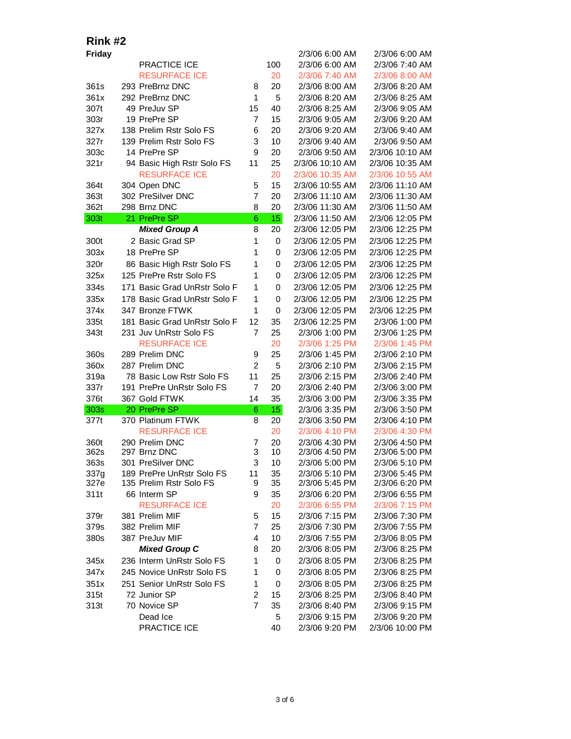| Friday       |                                                      |                                  |                 | 2/3/06 6:00 AM                   | 2/3/06 6:00 AM                    |
|--------------|------------------------------------------------------|----------------------------------|-----------------|----------------------------------|-----------------------------------|
|              | PRACTICE ICE                                         |                                  | 100             | 2/3/06 6:00 AM                   | 2/3/06 7:40 AM                    |
|              | <b>RESURFACE ICE</b>                                 |                                  | 20              | 2/3/06 7:40 AM                   | 2/3/06 8:00 AM                    |
| 361s         | 293 PreBrnz DNC                                      | 8                                | 20              | 2/3/06 8:00 AM                   | 2/3/06 8:20 AM                    |
| 361x         | 292 PreBrnz DNC                                      | $\mathbf{1}$                     | 5               | 2/3/06 8:20 AM                   | 2/3/06 8:25 AM                    |
| 307t         | 49 PreJuv SP                                         | 15                               | 40              | 2/3/06 8:25 AM                   | 2/3/06 9:05 AM                    |
| 303r         | 19 PrePre SP                                         | $\overline{7}$                   | 15              | 2/3/06 9:05 AM                   | 2/3/06 9:20 AM                    |
| 327x         | 138 Prelim Rstr Solo FS                              | 6                                | 20              | 2/3/06 9:20 AM                   | 2/3/06 9:40 AM                    |
| 327r         | 139 Prelim Rstr Solo FS                              | 3                                | 10              | 2/3/06 9:40 AM                   | 2/3/06 9:50 AM                    |
| 303c         | 14 PrePre SP                                         | 9                                | 20              | 2/3/06 9:50 AM                   | 2/3/06 10:10 AM                   |
| 321r         | 94 Basic High Rstr Solo FS                           | 11                               | 25              | 2/3/06 10:10 AM                  | 2/3/06 10:35 AM                   |
|              | <b>RESURFACE ICE</b>                                 |                                  | 20              | 2/3/06 10:35 AM                  | 2/3/06 10:55 AM                   |
| 364t         | 304 Open DNC                                         | 5                                | 15              | 2/3/06 10:55 AM                  | 2/3/06 11:10 AM                   |
| 363t         | 302 PreSilver DNC                                    | $\overline{7}$                   | 20              | 2/3/06 11:10 AM                  | 2/3/06 11:30 AM                   |
| 362t         | 298 Brnz DNC                                         | 8                                | 20              | 2/3/06 11:30 AM                  | 2/3/06 11:50 AM                   |
| 303t         | 21 PrePre SP                                         | $\,$ 6                           | 15 <sub>1</sub> | 2/3/06 11:50 AM                  | 2/3/06 12:05 PM                   |
|              | <b>Mixed Group A</b>                                 | 8                                | 20              | 2/3/06 12:05 PM                  | 2/3/06 12:25 PM                   |
| 300t         | 2 Basic Grad SP                                      | 1                                | 0               | 2/3/06 12:05 PM                  | 2/3/06 12:25 PM                   |
| 303x         | 18 PrePre SP                                         | 1                                | 0               | 2/3/06 12:05 PM                  | 2/3/06 12:25 PM                   |
| 320r         | 86 Basic High Rstr Solo FS                           | 1                                | 0               | 2/3/06 12:05 PM                  | 2/3/06 12:25 PM                   |
| 325x         | 125 PrePre Rstr Solo FS                              | 1                                | 0               | 2/3/06 12:05 PM                  | 2/3/06 12:25 PM                   |
| 334s         | 171 Basic Grad UnRstr Solo F                         | 1                                | 0               | 2/3/06 12:05 PM                  | 2/3/06 12:25 PM                   |
| 335x         | 178 Basic Grad UnRstr Solo F                         | 1                                | 0               | 2/3/06 12:05 PM                  | 2/3/06 12:25 PM                   |
| 374x         | 347 Bronze FTWK                                      | 1                                | 0               | 2/3/06 12:05 PM                  | 2/3/06 12:25 PM                   |
| 335t         | 181 Basic Grad UnRstr Solo F                         | 12                               | 35              | 2/3/06 12:25 PM                  | 2/3/06 1:00 PM                    |
| 343t         | 231 Juv UnRstr Solo FS                               | $\overline{7}$                   | 25              | 2/3/06 1:00 PM                   | 2/3/06 1:25 PM                    |
|              | <b>RESURFACE ICE</b>                                 |                                  | 20              | 2/3/06 1:25 PM                   | 2/3/06 1:45 PM                    |
| 360s         | 289 Prelim DNC                                       | 9                                | 25              | 2/3/06 1:45 PM                   | 2/3/06 2:10 PM                    |
| 360x         | 287 Prelim DNC                                       | $\overline{c}$                   | 5               | 2/3/06 2:10 PM                   | 2/3/06 2:15 PM                    |
| 319a         | 78 Basic Low Rstr Solo FS                            | 11                               | 25              | 2/3/06 2:15 PM                   | 2/3/06 2:40 PM                    |
| 337r         | 191 PrePre UnRstr Solo FS                            | $\overline{7}$                   | 20              | 2/3/06 2:40 PM                   | 2/3/06 3:00 PM                    |
| 376t         | 367 Gold FTWK                                        | 14                               | 35              | 2/3/06 3:00 PM                   | 2/3/06 3:35 PM                    |
| 303s         | 20 PrePre SP                                         | 6                                | 15              | 2/3/06 3:35 PM                   | 2/3/06 3:50 PM                    |
| 377t         | 370 Platinum FTWK                                    | 8                                | 20              | 2/3/06 3:50 PM                   | 2/3/06 4:10 PM                    |
|              | <b>RESURFACE ICE</b>                                 |                                  | 20              | 2/3/06 4:10 PM                   | 2/3/06 4:30 PM                    |
| 360t         | 290 Prelim DNC                                       | 7                                | 20              | 2/3/06 4:30 PM                   | 2/3/06 4:50 PM                    |
| 362s         | 297 Brnz DNC                                         | 3                                | 10              | 2/3/06 4:50 PM                   | 2/3/06 5:00 PM                    |
| 363s         | 301 PreSilver DNC                                    | 3                                | 10              | 2/3/06 5:00 PM                   | 2/3/06 5:10 PM                    |
| 337g         | 189 PrePre UnRstr Solo FS<br>135 Prelim Rstr Solo FS | 11                               | 35              | 2/3/06 5:10 PM                   | 2/3/06 5:45 PM                    |
| 327e<br>311t | 66 Interm SP                                         | 9<br>9                           | 35<br>35        | 2/3/06 5:45 PM<br>2/3/06 6:20 PM | 2/3/06 6:20 PM<br>2/3/06 6:55 PM  |
|              | <b>RESURFACE ICE</b>                                 |                                  | 20              | 2/3/06 6:55 PM                   | 2/3/06 7:15 PM                    |
| 379r         | 381 Prelim MIF                                       | 5                                | 15              | 2/3/06 7:15 PM                   | 2/3/06 7:30 PM                    |
| 379s         | 382 Prelim MIF                                       | 7                                | 25              | 2/3/06 7:30 PM                   | 2/3/06 7:55 PM                    |
| 380s         | 387 PreJuv MIF                                       | 4                                | 10              | 2/3/06 7:55 PM                   | 2/3/06 8:05 PM                    |
|              | <b>Mixed Group C</b>                                 | 8                                | 20              | 2/3/06 8:05 PM                   | 2/3/06 8:25 PM                    |
|              | 236 Interm UnRstr Solo FS                            | 1                                | 0               | 2/3/06 8:05 PM                   | 2/3/06 8:25 PM                    |
| 345x<br>347x | 245 Novice UnRstr Solo FS                            | 1                                | 0               | 2/3/06 8:05 PM                   | 2/3/06 8:25 PM                    |
|              |                                                      |                                  |                 |                                  |                                   |
| 351x         | 251 Senior UnRstr Solo FS                            | 1                                | 0               | 2/3/06 8:05 PM                   | 2/3/06 8:25 PM                    |
| 315t         | 72 Junior SP                                         | $\overline{c}$<br>$\overline{7}$ | 15              | 2/3/06 8:25 PM                   | 2/3/06 8:40 PM                    |
| 313t         | 70 Novice SP<br>Dead Ice                             |                                  | 35<br>5         | 2/3/06 8:40 PM                   | 2/3/06 9:15 PM                    |
|              | PRACTICE ICE                                         |                                  | 40              | 2/3/06 9:15 PM<br>2/3/06 9:20 PM | 2/3/06 9:20 PM<br>2/3/06 10:00 PM |
|              |                                                      |                                  |                 |                                  |                                   |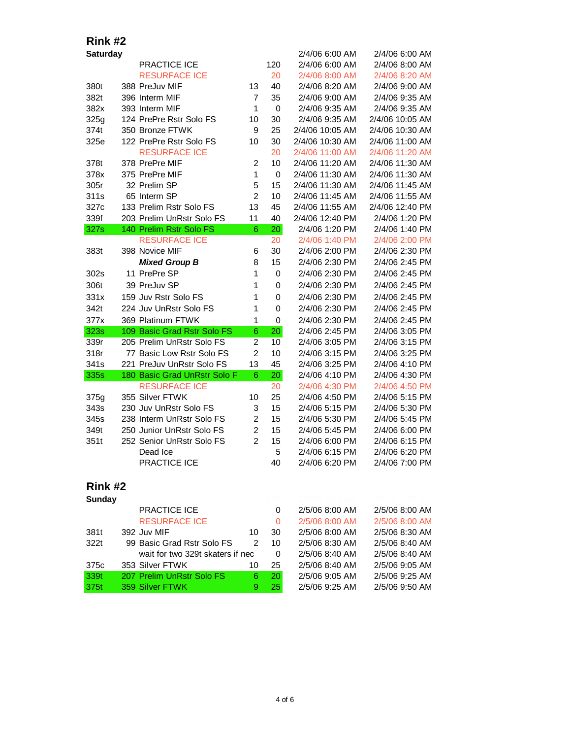| <b>Saturday</b> |                                  |                |             | 2/4/06 6:00 AM  | 2/4/06 6:00 AM  |
|-----------------|----------------------------------|----------------|-------------|-----------------|-----------------|
|                 | <b>PRACTICE ICE</b>              |                | 120         | 2/4/06 6:00 AM  | 2/4/06 8:00 AM  |
|                 | <b>RESURFACE ICE</b>             |                | 20          | 2/4/06 8:00 AM  | 2/4/06 8:20 AM  |
| 380t            | 388 PreJuv MIF                   | 13             | 40          | 2/4/06 8:20 AM  | 2/4/06 9:00 AM  |
| 382t            | 396 Interm MIF                   | $\overline{7}$ | 35          | 2/4/06 9:00 AM  | 2/4/06 9:35 AM  |
| 382x            | 393 Interm MIF                   | $\mathbf{1}$   | $\mathbf 0$ | 2/4/06 9:35 AM  | 2/4/06 9:35 AM  |
| 325g            | 124 PrePre Rstr Solo FS          | 10             | 30          | 2/4/06 9:35 AM  | 2/4/06 10:05 AM |
| 374t            | 350 Bronze FTWK                  | 9              | 25          | 2/4/06 10:05 AM | 2/4/06 10:30 AM |
| 325e            | 122 PrePre Rstr Solo FS          | 10             | 30          | 2/4/06 10:30 AM | 2/4/06 11:00 AM |
|                 | <b>RESURFACE ICE</b>             |                | 20          | 2/4/06 11:00 AM | 2/4/06 11:20 AM |
| 378t            | 378 PrePre MIF                   | $\overline{c}$ | 10          | 2/4/06 11:20 AM | 2/4/06 11:30 AM |
| 378x            | 375 PrePre MIF                   | $\mathbf{1}$   | 0           | 2/4/06 11:30 AM | 2/4/06 11:30 AM |
| 305r            | 32 Prelim SP                     | 5              | 15          | 2/4/06 11:30 AM | 2/4/06 11:45 AM |
| 311s            | 65 Interm SP                     | $\overline{2}$ | 10          | 2/4/06 11:45 AM | 2/4/06 11:55 AM |
| 327c            | 133 Prelim Rstr Solo FS          | 13             | 45          | 2/4/06 11:55 AM | 2/4/06 12:40 PM |
| 339f            | 203 Prelim UnRstr Solo FS        | 11             | 40          | 2/4/06 12:40 PM | 2/4/06 1:20 PM  |
| 327s            | 140 Prelim Rstr Solo FS          | 6              | 20          | 2/4/06 1:20 PM  | 2/4/06 1:40 PM  |
|                 | <b>RESURFACE ICE</b>             |                | 20          | 2/4/06 1:40 PM  | 2/4/06 2:00 PM  |
| 383t            | 398 Novice MIF                   | 6              | 30          | 2/4/06 2:00 PM  | 2/4/06 2:30 PM  |
|                 | <b>Mixed Group B</b>             | 8              | 15          | 2/4/06 2:30 PM  | 2/4/06 2:45 PM  |
| 302s            | 11 PrePre SP                     | $\mathbf{1}$   | 0           | 2/4/06 2:30 PM  | 2/4/06 2:45 PM  |
| 306t            | 39 PreJuv SP                     | 1              | 0           | 2/4/06 2:30 PM  | 2/4/06 2:45 PM  |
| 331x            | 159 Juv Rstr Solo FS             | 1              | $\mathbf 0$ | 2/4/06 2:30 PM  | 2/4/06 2:45 PM  |
| 342t            | 224 Juv UnRstr Solo FS           | 1              | $\mathbf 0$ | 2/4/06 2:30 PM  | 2/4/06 2:45 PM  |
| 377x            | 369 Platinum FTWK                | 1              | 0           | 2/4/06 2:30 PM  | 2/4/06 2:45 PM  |
| <b>323s</b>     | 109 Basic Grad Rstr Solo FS      | 6              | 20          | 2/4/06 2:45 PM  | 2/4/06 3:05 PM  |
| 339r            | 205 Prelim UnRstr Solo FS        | $\overline{c}$ | 10          | 2/4/06 3:05 PM  | 2/4/06 3:15 PM  |
| 318r            | 77 Basic Low Rstr Solo FS        | $\overline{2}$ | 10          | 2/4/06 3:15 PM  | 2/4/06 3:25 PM  |
| 341s            | 221 PreJuv UnRstr Solo FS        | 13             | 45          | 2/4/06 3:25 PM  | 2/4/06 4:10 PM  |
| 335s            | 180 Basic Grad UnRstr Solo F     | 6              | 20          | 2/4/06 4:10 PM  | 2/4/06 4:30 PM  |
|                 | <b>RESURFACE ICE</b>             |                | 20          | 2/4/06 4:30 PM  | 2/4/06 4:50 PM  |
| 375g            | 355 Silver FTWK                  | 10             | 25          | 2/4/06 4:50 PM  | 2/4/06 5:15 PM  |
| 343s            | 230 Juv UnRstr Solo FS           | 3              | 15          | 2/4/06 5:15 PM  | 2/4/06 5:30 PM  |
| 345s            | 238 Interm UnRstr Solo FS        | $\overline{2}$ | 15          | 2/4/06 5:30 PM  | 2/4/06 5:45 PM  |
| 349t            | 250 Junior UnRstr Solo FS        | $\overline{2}$ | 15          | 2/4/06 5:45 PM  | 2/4/06 6:00 PM  |
| 351t            | 252 Senior UnRstr Solo FS        | $\overline{2}$ | 15          | 2/4/06 6:00 PM  | 2/4/06 6:15 PM  |
|                 | Dead Ice                         |                | 5           | 2/4/06 6:15 PM  | 2/4/06 6:20 PM  |
|                 | <b>PRACTICE ICE</b>              |                | 40          | 2/4/06 6:20 PM  | 2/4/06 7:00 PM  |
| Rink #2         |                                  |                |             |                 |                 |
| <b>Sunday</b>   |                                  |                |             |                 |                 |
|                 | <b>PRACTICE ICE</b>              |                | 0           | 2/5/06 8:00 AM  | 2/5/06 8:00 AM  |
|                 | <b>RESURFACE ICE</b>             |                | 0           | 2/5/06 8:00 AM  | 2/5/06 8:00 AM  |
| 381t            | 392 Juv MIF                      | 10             | 30          | 2/5/06 8:00 AM  | 2/5/06 8:30 AM  |
| 322t            | 99 Basic Grad Rstr Solo FS       | $\mathcal{P}$  | 10          | 2/5/06 8:30 AM  | 2/5/06 8:40 AM  |
|                 | wait for two 329t skaters if nec |                | 0           | 2/5/06 8:40 AM  | 2/5/06 8:40 AM  |

375c 353 Silver FTWK 10 25 2/5/06 8:40 AM 2/5/06 9:05 AM<br>
339t 207 Prelim UnRstr Solo FS 6 20 2/5/06 9:05 AM 2/5/06 9:25 AM 339t 207 Prelim UnRstr Solo FS 6 20 2/5/06 9:05 AM 2/5/06 9:25 AM 375t 359 Silver FTWK 9 25 2/5/06 9:25 AM 2/5/06 9:50 AM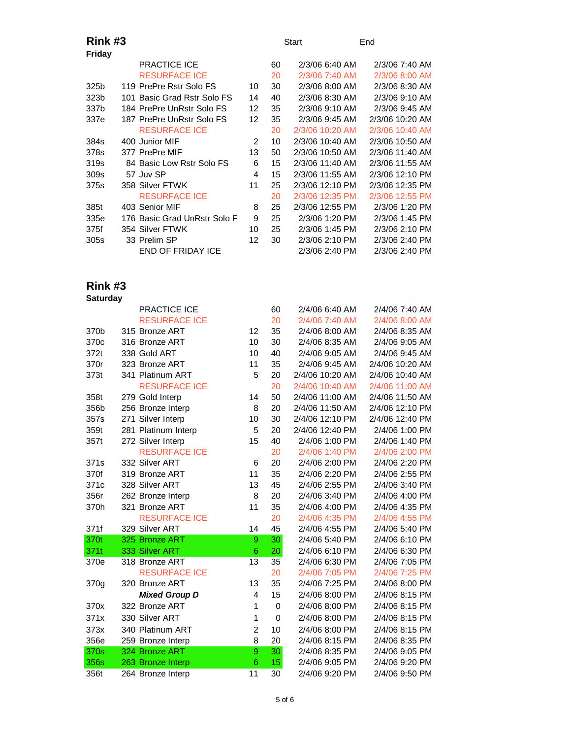### **Rink #3** Start End

| Friday           |                              |    |    |                 |                 |
|------------------|------------------------------|----|----|-----------------|-----------------|
|                  | <b>PRACTICE ICE</b>          |    | 60 | 2/3/06 6:40 AM  | 2/3/06 7:40 AM  |
|                  | <b>RESURFACE ICE</b>         |    | 20 | 2/3/06 7:40 AM  | 2/3/06 8:00 AM  |
| 325b             | 119 PrePre Rstr Solo FS      | 10 | 30 | 2/3/06 8:00 AM  | 2/3/06 8:30 AM  |
| 323b             | 101 Basic Grad Rstr Solo FS  | 14 | 40 | 2/3/06 8:30 AM  | 2/3/06 9:10 AM  |
| 337b             | 184 PrePre UnRstr Solo FS    | 12 | 35 | 2/3/06 9:10 AM  | 2/3/06 9:45 AM  |
| 337e             | 187 PrePre UnRstr Solo FS    | 12 | 35 | 2/3/06 9:45 AM  | 2/3/06 10:20 AM |
|                  | <b>RESURFACE ICE</b>         |    | 20 | 2/3/06 10:20 AM | 2/3/06 10:40 AM |
| 384s             | 400 Junior MIF               | 2  | 10 | 2/3/06 10:40 AM | 2/3/06 10:50 AM |
| 378s             | 377 PrePre MIF               | 13 | 50 | 2/3/06 10:50 AM | 2/3/06 11:40 AM |
| 319 <sub>s</sub> | 84 Basic Low Rstr Solo FS    | 6  | 15 | 2/3/06 11:40 AM | 2/3/06 11:55 AM |
| 309s             | 57 Juv SP                    | 4  | 15 | 2/3/06 11:55 AM | 2/3/06 12:10 PM |
| 375s             | 358 Silver FTWK              | 11 | 25 | 2/3/06 12:10 PM | 2/3/06 12:35 PM |
|                  | <b>RESURFACE ICE</b>         |    | 20 | 2/3/06 12:35 PM | 2/3/06 12:55 PM |
| 385t             | 403 Senior MIF               | 8  | 25 | 2/3/06 12:55 PM | 2/3/06 1:20 PM  |
| 335e             | 176 Basic Grad UnRstr Solo F | 9  | 25 | 2/3/06 1:20 PM  | 2/3/06 1:45 PM  |
| 375f             | 354 Silver FTWK              | 10 | 25 | 2/3/06 1:45 PM  | 2/3/06 2:10 PM  |
| 305s             | 33 Prelim SP                 | 12 | 30 | 2/3/06 2:10 PM  | 2/3/06 2:40 PM  |
|                  | END OF FRIDAY ICE            |    |    | 2/3/06 2:40 PM  | 2/3/06 2:40 PM  |
|                  |                              |    |    |                 |                 |

| <b>Saturday</b> |                      |                |             |                 |                 |
|-----------------|----------------------|----------------|-------------|-----------------|-----------------|
|                 | PRACTICE ICE         |                | 60          | 2/4/06 6:40 AM  | 2/4/06 7:40 AM  |
|                 | <b>RESURFACE ICE</b> |                | 20          | 2/4/06 7:40 AM  | 2/4/06 8:00 AM  |
| 370b            | 315 Bronze ART       | 12             | 35          | 2/4/06 8:00 AM  | 2/4/06 8:35 AM  |
| 370c            | 316 Bronze ART       | 10             | 30          | 2/4/06 8:35 AM  | 2/4/06 9:05 AM  |
| 372t            | 338 Gold ART         | 10             | 40          | 2/4/06 9:05 AM  | 2/4/06 9:45 AM  |
| 370r            | 323 Bronze ART       | 11             | 35          | 2/4/06 9:45 AM  | 2/4/06 10:20 AM |
| 373t            | 341 Platinum ART     | 5              | 20          | 2/4/06 10:20 AM | 2/4/06 10:40 AM |
|                 | <b>RESURFACE ICE</b> |                | 20          | 2/4/06 10:40 AM | 2/4/06 11:00 AM |
| 358t            | 279 Gold Interp      | 14             | 50          | 2/4/06 11:00 AM | 2/4/06 11:50 AM |
| 356b            | 256 Bronze Interp    | 8              | 20          | 2/4/06 11:50 AM | 2/4/06 12:10 PM |
| 357s            | 271 Silver Interp    | 10             | 30          | 2/4/06 12:10 PM | 2/4/06 12:40 PM |
| 359t            | 281 Platinum Interp  | 5              | 20          | 2/4/06 12:40 PM | 2/4/06 1:00 PM  |
| 357t            | 272 Silver Interp    | 15             | 40          | 2/4/06 1:00 PM  | 2/4/06 1:40 PM  |
|                 | <b>RESURFACE ICE</b> |                | 20          | 2/4/06 1:40 PM  | 2/4/06 2:00 PM  |
| 371s            | 332 Silver ART       | 6              | 20          | 2/4/06 2:00 PM  | 2/4/06 2:20 PM  |
| 370f            | 319 Bronze ART       | 11             | 35          | 2/4/06 2:20 PM  | 2/4/06 2:55 PM  |
| 371c            | 328 Silver ART       | 13             | 45          | 2/4/06 2:55 PM  | 2/4/06 3:40 PM  |
| 356r            | 262 Bronze Interp    | 8              | 20          | 2/4/06 3:40 PM  | 2/4/06 4:00 PM  |
| 370h            | 321 Bronze ART       | 11             | 35          | 2/4/06 4:00 PM  | 2/4/06 4:35 PM  |
|                 | <b>RESURFACE ICE</b> |                | 20          | 2/4/06 4:35 PM  | 2/4/06 4:55 PM  |
| 371f            | 329 Silver ART       | 14             | 45          | 2/4/06 4:55 PM  | 2/4/06 5:40 PM  |
| 370t            | 325 Bronze ART       | 9              | 30          | 2/4/06 5:40 PM  | 2/4/06 6:10 PM  |
| 371t            | 333 Silver ART       | 6              | 20          | 2/4/06 6:10 PM  | 2/4/06 6:30 PM  |
| 370e            | 318 Bronze ART       | 13             | 35          | 2/4/06 6:30 PM  | 2/4/06 7:05 PM  |
|                 | <b>RESURFACE ICE</b> |                | 20          | 2/4/06 7:05 PM  | 2/4/06 7:25 PM  |
| 370g            | 320 Bronze ART       | 13             | 35          | 2/4/06 7:25 PM  | 2/4/06 8:00 PM  |
|                 | <b>Mixed Group D</b> | 4              | 15          | 2/4/06 8:00 PM  | 2/4/06 8:15 PM  |
| 370x            | 322 Bronze ART       | 1              | $\mathbf 0$ | 2/4/06 8:00 PM  | 2/4/06 8:15 PM  |
| 371x            | 330 Silver ART       | 1              | $\mathbf 0$ | 2/4/06 8:00 PM  | 2/4/06 8:15 PM  |
| 373x            | 340 Platinum ART     | $\overline{c}$ | 10          | 2/4/06 8:00 PM  | 2/4/06 8:15 PM  |
| 356e            | 259 Bronze Interp    | 8              | 20          | 2/4/06 8:15 PM  | 2/4/06 8:35 PM  |
| 370s            | 324 Bronze ART       | 9              | 30          | 2/4/06 8:35 PM  | 2/4/06 9:05 PM  |
| 356s            | 263 Bronze Interp    | 6              | 15          | 2/4/06 9:05 PM  | 2/4/06 9:20 PM  |
| 356t            | 264 Bronze Interp    | 11             | 30          | 2/4/06 9:20 PM  | 2/4/06 9:50 PM  |